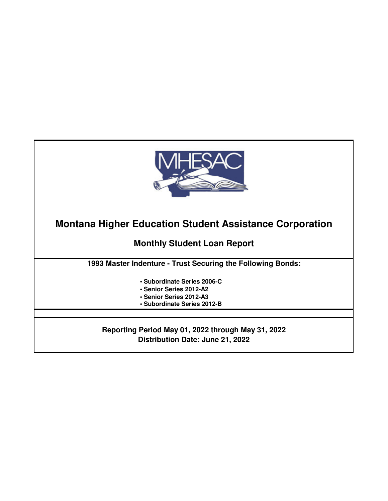

**Montana Higher Education Student Assistance Corporation**

**Monthly Student Loan Report**

**1993 Master Indenture - Trust Securing the Following Bonds:**

- **Subordinate Series 2006-C**
- **Senior Series 2012-A2**
- **Senior Series 2012-A3**
- **Subordinate Series 2012-B**

**Reporting Period May 01, 2022 through May 31, 2022 Distribution Date: June 21, 2022**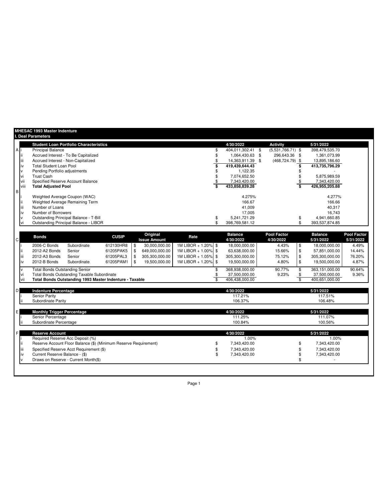|              |      | <b>MHESAC 1993 Master Indenture</b>           |              |                          |                     |                             |                                 |                             |                                 |
|--------------|------|-----------------------------------------------|--------------|--------------------------|---------------------|-----------------------------|---------------------------------|-----------------------------|---------------------------------|
|              |      | I. Deal Parameters                            |              |                          |                     |                             |                                 |                             |                                 |
|              |      | <b>Student Loan Portfolio Characteristics</b> |              |                          |                     | 4/30/2022                   | Activity                        | 5/31/2022                   |                                 |
| <b>A</b>     |      | <b>Principal Balance</b>                      |              |                          |                     | 404,011,302.41 \$           | $(5,531,766.71)$ \$             | 398,479,535.70              |                                 |
|              |      | Accrued Interest - To Be Capitalized          |              |                          |                     | 1,064,430.63 \$             | 296,643.36 \$                   | 1,361,073.99                |                                 |
|              |      | Accrued Interest - Non-Capitalized            |              |                          |                     | 14,363,911.39 \$            | $(468, 724, 79)$ \$             | 13,895,186.60               |                                 |
|              |      | <b>Total Student Loan Pool</b>                |              |                          |                     | 419,439,644.43              |                                 | 413,735,796.29              |                                 |
|              |      | Pending Portfolio adjustments                 |              |                          |                     | 1,122.35                    |                                 |                             |                                 |
|              |      | <b>Trust Cash</b>                             |              |                          |                     | 7,074,652.50                |                                 | 5,875,989.59                |                                 |
|              | vii  | Specified Reserve Account Balance             |              |                          |                     | 7,343,420.00                |                                 | 7,343,420.00                |                                 |
|              | viii | <b>Total Adjusted Pool</b>                    |              |                          |                     | 433,858,839.28              |                                 | 426,955,205.88              |                                 |
| IВ           |      |                                               |              |                          |                     |                             |                                 |                             |                                 |
|              |      | Weighted Average Coupon (WAC)                 |              |                          |                     | 4.275%                      |                                 | 4.277%                      |                                 |
|              |      | Weighted Average Remaining Term               |              |                          |                     | 166.67                      |                                 | 166.66                      |                                 |
|              |      | Number of Loans                               |              |                          |                     | 41,009                      |                                 | 40,317                      |                                 |
|              |      | Number of Borrowers                           |              |                          |                     | 17.005                      |                                 | 16.743                      |                                 |
|              |      | Outstanding Principal Balance - T-Bill        |              |                          |                     | 5,241,721.29                |                                 | 4,941,660.85                |                                 |
|              |      | Outstanding Principal Balance - LIBOR         |              |                          |                     | 398,769,581.12              |                                 | 393,537,874.85              |                                 |
|              |      |                                               |              |                          |                     |                             |                                 |                             |                                 |
| $\mathsf{C}$ |      | <b>Bonds</b>                                  | <b>CUSIP</b> | Original<br>Issue Amount | Rate                | <b>Balance</b><br>4/30/2022 | <b>Pool Factor</b><br>4/30/2022 | <b>Balance</b><br>5/31/2022 | <b>Pool Factor</b><br>5/31/2022 |
|              |      | 2006-C Bonds<br>Subordinate                   | 612130HR8    | \$<br>30,000,000.00      | 1M LIBOR + 1.20% \$ | 18,000,000.00               | \$<br>4.43%                     | 18,000,000.00               | 4.49%                           |
|              |      | 2012-A2 Bonds<br>Senior                       | 61205PAK5    | 649,000,000.00           | 1M LIBOR + 1.00% \$ | 63,638,000.00               | 15.66%<br>\$                    | 57,851,000.00               | 14.44%                          |

|    | ١V | 2012-A3 Bonds<br>2012-B Bonds               | Senior<br>Subordinate                              | 61205PAL3<br>61205PAM1                                           | \$<br>S | 305,300,000.00<br>19,500,000.00 | 1M LIBOR + 1.05% \$<br>1M LIBOR + 1.20% \$ | 305,300,000.00<br>19,500,000.00                   | 75.12%<br>4.80% | \$<br>\$ | 305,300,000.00<br>19,500,000.00                   | 76.20%<br>4.87% |
|----|----|---------------------------------------------|----------------------------------------------------|------------------------------------------------------------------|---------|---------------------------------|--------------------------------------------|---------------------------------------------------|-----------------|----------|---------------------------------------------------|-----------------|
|    | ٧i | <b>Total Bonds Outstanding Senior</b>       | <b>Total Bonds Outstanding Taxable Subordinate</b> | Total Bonds Outstanding 1993 Master Indenture - Taxable          |         |                                 |                                            | 368,938,000.00<br>37,500,000.00<br>406,438,000.00 | 90.77%<br>9.23% |          | 363,151,000.00<br>37,500,000.00<br>400,651,000.00 | 90.64%<br>9.36% |
| D. |    | <b>Indenture Percentage</b>                 |                                                    |                                                                  |         |                                 |                                            | 4/30/2022                                         |                 |          | 5/31/2022                                         |                 |
|    |    | <b>Senior Parity</b><br>Subordinate Parity  |                                                    |                                                                  |         |                                 |                                            | 117.21%<br>106.37%                                |                 |          | 117.51%<br>106.48%                                |                 |
| E. |    | <b>Monthly Trigger Percentage</b>           |                                                    |                                                                  |         |                                 |                                            | 4/30/2022                                         |                 |          | 5/31/2022                                         |                 |
|    |    | Senior Percentage<br>Subordinate Percentage |                                                    |                                                                  |         |                                 |                                            | 111.25%<br>100.84%                                |                 |          | 111.07%<br>100.56%                                |                 |
| F  |    | <b>Reserve Account</b>                      |                                                    |                                                                  |         |                                 |                                            | 4/30/2022                                         |                 |          | 5/31/2022                                         |                 |
|    |    |                                             | Required Reserve Acc Deposit (%)                   | Reserve Account Floor Balance (\$) (Minimum Reserve Requirement) |         |                                 |                                            | 1.00%<br>7,343,420.00                             |                 |          | 1.00%<br>7,343,420.00                             |                 |
|    | ١V | Current Reserve Balance - (\$)              | Specified Reserve Acct Requirement (\$)            |                                                                  |         |                                 |                                            | 7,343,420.00<br>7,343,420.00                      |                 |          | 7,343,420.00<br>7,343,420.00                      |                 |
|    |    |                                             | Draws on Reserve - Current Month(\$)               |                                                                  |         |                                 |                                            |                                                   |                 |          |                                                   |                 |
|    |    |                                             |                                                    |                                                                  |         |                                 |                                            |                                                   |                 |          |                                                   |                 |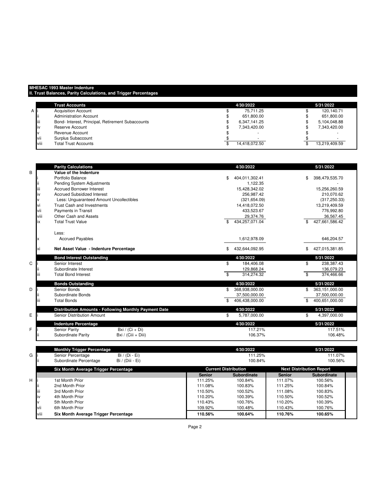## **MHESAC 1993 Master Indenture**

**II. Trust Balances, Parity Calculations, and Trigger Percentages**

|      | <b>Trust Accounts</b>                             | 4/30/2022                | 5/31/2022     |
|------|---------------------------------------------------|--------------------------|---------------|
| A    | <b>Acquisition Account</b>                        | 75.711.25                | 120.140.71    |
|      | <b>Administration Account</b>                     | 651,800.00               | 651.800.00    |
| iij  | Bond- Interest, Principal, Retirement Subaccounts | 6.347.141.25             | 5.104.048.88  |
| ıiν  | Reserve Account                                   | 7.343.420.00             | 7.343.420.00  |
|      | Revenue Account                                   | $\overline{\phantom{a}}$ |               |
| vii  | Surplus Subaccount                                |                          |               |
| viii | <b>Total Trust Accounts</b>                       | 14,418,072.50            | 13,219,409.59 |

|   |      | <b>Parity Calculations</b>                            | 4/30/2022            | 5/31/2022             |
|---|------|-------------------------------------------------------|----------------------|-----------------------|
| B |      | Value of the Indenture                                |                      |                       |
|   |      | Portfolio Balance                                     | 404,011,302.41<br>\$ | \$<br>398,479,535.70  |
|   |      | Pending System Adjustments                            | 1,122.35             |                       |
|   | Ш    | <b>Accrued Borrower Interest</b>                      | 15,428,342.02        | 15,256,260.59         |
|   | iv   | <b>Accrued Subsidized Interest</b>                    | 256,987.42           | 210,070.62            |
|   |      | Less: Unquaranteed Amount Uncollectibles              | (321, 654.09)        | (317, 250.33)         |
|   | vi   | <b>Trust Cash and Investments</b>                     | 14,418,072.50        | 13,219,409.59         |
|   | vii  | Payments in Transit                                   | 433,523.67           | 776,992.80            |
|   | viii | Other Cash and Assets                                 | 29,374.76            | 36,567.45             |
|   | ix   | <b>Total Trust Value</b>                              | 434,257,071.04<br>\$ | 427,661,586.42<br>\$. |
|   |      |                                                       |                      |                       |
|   |      | Less:                                                 |                      |                       |
|   |      | <b>Accrued Payables</b>                               | 1,612,978.09         | 646,204.57            |
|   |      |                                                       |                      |                       |
|   | хi   | Net Asset Value - Indenture Percentage                | \$<br>432,644,092.95 | \$<br>427,015,381.85  |
|   |      | <b>Bond Interest Outstanding</b>                      | 4/30/2022            | 5/31/2022             |
| C |      | Senior Interest                                       | \$<br>184,406.08     | \$<br>238,387.43      |
|   |      | Subordinate Interest                                  | 129,868.24           | 136,079.23            |
|   | Ш    | <b>Total Bond Interest</b>                            | \$<br>314,274.32     | \$<br>374,466.66      |
|   |      | <b>Bonds Outstanding</b>                              | 4/30/2022            | 5/31/2022             |
| D |      | Senior Bonds                                          | 368,938,000.00       | 363,151,000.00<br>\$  |
|   |      | Subordinate Bonds                                     | 37,500,000.00        | 37,500,000.00         |
|   | Ш    | <b>Total Bonds</b>                                    | 406,438,000.00       | 400,651,000.00        |
|   |      | Distribution Amounts - Following Monthly Payment Date | 4/30/2022            | 5/31/2022             |
| Е |      | Senior Distribution Amount                            | 5,787,000.00<br>\$   | \$<br>4,397,000.00    |
|   |      | <b>Indenture Percentage</b>                           | 4/30/2022            | 5/31/2022             |
| F |      | Senior Parity<br>Bxi / $(Ci + Di)$                    | 117.21%              | 117.51%               |
|   |      | Subordinate Parity<br>Bxi / (Ciii + Diii)             | 106.37%              | 106.48%               |
|   |      |                                                       |                      |                       |
|   |      |                                                       |                      |                       |

|   |      | <b>Monthly Trigger Percentage</b>          |               | 4/30/2022                   |               | 5/31/2022                       |  |
|---|------|--------------------------------------------|---------------|-----------------------------|---------------|---------------------------------|--|
| G |      | Senior Percentage<br>$Bi / (Di - Ei)$      |               | 111.25%                     |               | 111.07%                         |  |
|   |      | Subordinate Percentage<br>Bi / (Diii - Ei) |               | 100.84%                     |               | 100.56%                         |  |
|   |      | Six Month Average Trigger Percentage       |               | <b>Current Distribution</b> |               | <b>Next Distribution Report</b> |  |
|   |      |                                            | <b>Senior</b> | Subordinate                 | <b>Senior</b> | <b>Subordinate</b>              |  |
| H |      | 1st Month Prior                            | 111.25%       | 100.84%                     | 111.07%       | 100.56%                         |  |
|   |      | 2nd Month Prior                            | 111.08%       | 100.83%                     | 111.25%       | 100.84%                         |  |
|   | liii | 3rd Month Prior                            | 110.50%       | 100.52%                     | 111.08%       | 100.83%                         |  |
|   | IV   | 4th Month Prior                            | 110.20%       | 100.39%                     | 110.50%       | 100.52%                         |  |
|   |      | 5th Month Prior                            | 110.43%       | 100.76%                     | 110.20%       | 100.39%                         |  |
|   | vii  | 6th Month Prior                            | 109.92%       | 100.48%                     | 110.43%       | 100.76%                         |  |
|   | viii | Six Month Average Trigger Percentage       | 110.56%       | 100.64%                     | 110.76%       | 100.65%                         |  |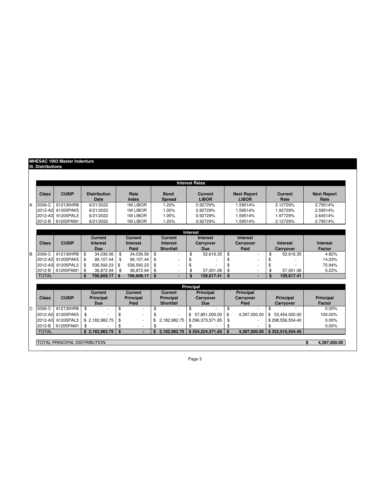## **MHESAC 1993 Master Indenture IIl. Distributions**

|   |              |                                     |     |                             |                  |                              |                 | <b>Interest Rates</b>          |                                    |                        |                            |
|---|--------------|-------------------------------------|-----|-----------------------------|------------------|------------------------------|-----------------|--------------------------------|------------------------------------|------------------------|----------------------------|
|   | <b>Class</b> | <b>CUSIP</b>                        |     | <b>Distribution</b><br>Date | Rate<br>Index    | <b>Bond</b><br><b>Spread</b> |                 | <b>Current</b><br><b>LIBOR</b> | <b>Next Report</b><br><b>LIBOR</b> | <b>Current</b><br>Rate | <b>Next Report</b><br>Rate |
| A | $2006-C$     | 612130HR8                           |     | 6/21/2022                   | 1M LIBOR         | 1.20%                        |                 | 0.92729%                       | 1.59514%                           | 2.12729%               | 2.79514%                   |
|   | 2012-A2      | 61205PAK5                           |     | 6/21/2022                   | 1M LIBOR         | 1.00%                        |                 | 0.92729%                       | 1.59514%                           | 1.92729%               | 2.59514%                   |
|   | 2012-A3      | 61205PAL3                           |     | 6/21/2022                   | <b>1M LIBOR</b>  | 1.05%                        |                 | 0.92729%                       | 1.59514%                           | 1.97729%               | 2.64514%                   |
|   | 2012-B       | 61205PAM1                           |     | 6/21/2022                   | <b>1M LIBOR</b>  | 1.20%                        |                 | 0.92729%                       | 1.59514%                           | 2.12729%               | 2.79514%                   |
|   |              |                                     |     |                             |                  |                              | <b>Interest</b> |                                |                                    |                        |                            |
|   |              |                                     |     | <b>Current</b>              | Current          | <b>Current</b>               |                 | <b>Interest</b>                | Interest                           |                        |                            |
|   | Class        | <b>CUSIP</b>                        |     | <b>Interest</b>             | Interest         | <b>Interest</b>              |                 | <b>Carryover</b>               | Carryover                          | <b>Interest</b>        | <b>Interest</b>            |
|   |              |                                     |     | <b>Due</b>                  | Paid             | <b>Shortfall</b>             |                 | Due                            | Paid                               | <b>Carryover</b>       | Factor                     |
|   | 2006-C       | 612130HR8                           | \$  | 34.036.56                   | \$<br>34.036.56  | \$                           | \$              | 52.616.35                      | \$<br>٠                            | \$<br>52.616.35        | 4.82%                      |
|   | 2012-A2      | 61205PAK5                           | \$  | 99.107.44                   | \$<br>99.107.44  | \$                           | \$              |                                | \$                                 | \$                     | 14.03%                     |
|   | 2012-A3      | 61205PAL3                           | \$  | 536.592.23                  | \$<br>536.592.23 | \$                           | \$              |                                | \$                                 | \$                     | 75.94%                     |
|   | 2012-B       | 61205PAM1                           | \$  | 36.872.94                   | \$<br>36.872.94  | \$                           | \$              | 57.001.06                      | \$                                 | \$<br>57.001.06        | 5.22%                      |
|   | <b>TOTAL</b> |                                     | \$. | 706.609.17   \$             | 706,609.17       | \$                           | \$              | 109.617.41                     | \$                                 | \$<br>109.617.41       |                            |
|   |              |                                     |     |                             |                  |                              |                 |                                |                                    |                        |                            |
|   |              |                                     |     | <b>Current</b>              | <b>Current</b>   | <b>Current</b>               | Principal       | <b>Principal</b>               | <b>Principal</b>                   |                        |                            |
|   | <b>Class</b> | <b>CUSIP</b>                        |     | <b>Principal</b>            | <b>Principal</b> | <b>Principal</b>             |                 | <b>Carrvover</b>               | <b>Carryover</b>                   | <b>Principal</b>       | <b>Principal</b>           |
|   |              |                                     |     | <b>Due</b>                  | Paid             | <b>Shortfall</b>             |                 | <b>Due</b>                     | Paid                               | <b>Carryover</b>       | <b>Factor</b>              |
|   | 2006-C       | 612130HR8                           | \$  |                             | \$               | \$                           | \$              |                                | \$                                 | \$                     | $0.00\%$                   |
|   | 2012-A2      | 61205PAK5                           | \$  |                             | \$               |                              | \$              | 57.851.000.00                  | \$<br>4.397.000.00                 | \$<br>53,454,000.00    | 100.00%                    |
|   | 2012-A3      | 61205PAL3                           |     | \$2,182,982.75              | \$               | \$<br>2,182,982.75           |                 | \$296,373,571.65               | \$                                 | \$298,556,554.40       | $0.00\%$                   |
|   | 2012-B       | 61205PAM1                           | \$  |                             | \$               | \$                           | \$              |                                | \$                                 | \$                     | 0.00%                      |
|   | <b>TOTAL</b> |                                     |     | \$2.182.982.75              | \$               | \$<br>2.182.982.75           |                 | \$354.224.571.65               | \$<br>4.397.000.00                 | \$352.010.554.40       |                            |
|   |              |                                     |     |                             |                  |                              |                 |                                |                                    |                        |                            |
|   |              | <b>TOTAL PRINCIPAL DISTRIBUTION</b> |     |                             |                  |                              |                 |                                |                                    |                        | \$<br>4.397.000.00         |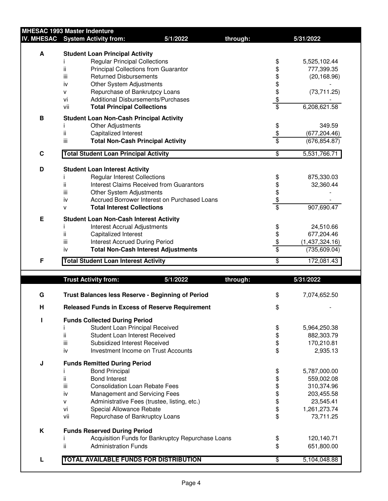|             | <b>MHESAC 1993 Master Indenture</b>                                      |                                                   |                |                              |
|-------------|--------------------------------------------------------------------------|---------------------------------------------------|----------------|------------------------------|
|             | IV. MHESAC System Activity from:                                         | 5/1/2022                                          | through:       | 5/31/2022                    |
| A           | <b>Student Loan Principal Activity</b>                                   |                                                   |                |                              |
|             | <b>Regular Principal Collections</b>                                     |                                                   | \$             | 5,525,102.44                 |
|             | ii<br>Principal Collections from Guarantor                               |                                                   | \$             | 777,399.35                   |
|             | iii<br><b>Returned Disbursements</b>                                     |                                                   |                | (20, 168.96)                 |
|             | Other System Adjustments<br>iv                                           |                                                   |                |                              |
|             | Repurchase of Bankrutpcy Loans<br>v                                      |                                                   |                | (73, 711.25)                 |
|             | <b>Additional Disbursements/Purchases</b><br>vi                          |                                                   | 89899          |                              |
|             | vii<br><b>Total Principal Collections</b>                                |                                                   |                | 6,208,621.58                 |
| B           | <b>Student Loan Non-Cash Principal Activity</b>                          |                                                   |                |                              |
|             | Other Adjustments                                                        |                                                   |                | 349.59                       |
|             | ii.<br>Capitalized Interest                                              |                                                   | \$\$\$         | (677, 204.46)                |
|             | iii<br><b>Total Non-Cash Principal Activity</b>                          |                                                   |                | (676, 854.87)                |
| $\mathbf C$ | <b>Total Student Loan Principal Activity</b>                             |                                                   | \$             | 5,531,766.71                 |
|             |                                                                          |                                                   |                |                              |
| D           | <b>Student Loan Interest Activity</b>                                    |                                                   |                |                              |
|             | <b>Regular Interest Collections</b>                                      | Interest Claims Received from Guarantors          |                | 875,330.03                   |
|             | ij.<br>iii                                                               |                                                   |                | 32,360.44                    |
|             | Other System Adjustments<br>iv                                           | Accrued Borrower Interest on Purchased Loans      |                |                              |
|             | <b>Total Interest Collections</b><br>v                                   |                                                   | \$\$\$\$\$     | 907,690.47                   |
|             |                                                                          |                                                   |                |                              |
| Е           | <b>Student Loan Non-Cash Interest Activity</b>                           |                                                   |                |                              |
|             | <b>Interest Accrual Adjustments</b><br>ij.                               |                                                   |                | 24,510.66                    |
|             | Capitalized Interest<br>iii<br><b>Interest Accrued During Period</b>     |                                                   |                | 677,204.46<br>(1,437,324.16) |
|             | iv                                                                       | <b>Total Non-Cash Interest Adjustments</b>        | \$\$\$\$       | (735, 609.04)                |
|             |                                                                          |                                                   |                |                              |
| F           | <b>Total Student Loan Interest Activity</b>                              |                                                   | \$             | 172,081.43                   |
|             | <b>Trust Activity from:</b>                                              | 5/1/2022                                          | through:       | 5/31/2022                    |
|             |                                                                          |                                                   |                |                              |
| G           | Trust Balances less Reserve - Beginning of Period                        |                                                   | \$             | 7,074,652.50                 |
| н           | <b>Released Funds in Excess of Reserve Requirement</b>                   |                                                   | \$             |                              |
|             |                                                                          |                                                   |                |                              |
| Т           | <b>Funds Collected During Period</b>                                     |                                                   |                |                              |
|             | Student Loan Principal Received<br>ij.<br>Student Loan Interest Received |                                                   | \$             | 5,964,250.38                 |
|             | iii<br>Subsidized Interest Received                                      |                                                   | \$             | 882,303.79<br>170,210.81     |
|             | iv                                                                       | Investment Income on Trust Accounts               | \$             | 2,935.13                     |
|             |                                                                          |                                                   |                |                              |
| J           | <b>Funds Remitted During Period</b>                                      |                                                   |                |                              |
|             | <b>Bond Principal</b><br>ii.<br><b>Bond Interest</b>                     |                                                   | \$             | 5,787,000.00                 |
|             | iii<br><b>Consolidation Loan Rebate Fees</b>                             |                                                   |                | 559,002.08<br>310,374.96     |
|             |                                                                          |                                                   |                |                              |
|             | iv<br>Management and Servicing Fees                                      |                                                   |                | 203,455.58                   |
|             | v                                                                        | Administrative Fees (trustee, listing, etc.)      |                | 23,545.41                    |
|             | vi<br>Special Allowance Rebate<br>vii                                    |                                                   | \$\$\$\$\$\$\$ | 1,261,273.74<br>73,711.25    |
|             | Repurchase of Bankruptcy Loans                                           |                                                   |                |                              |
|             |                                                                          |                                                   |                |                              |
| K           | <b>Funds Reserved During Period</b>                                      |                                                   |                |                              |
|             | ij.<br><b>Administration Funds</b>                                       | Acquisition Funds for Bankruptcy Repurchase Loans | \$<br>\$       | 120,140.71<br>651,800.00     |

**L TOTAL AVAILABLE FUNDS FOR DISTRIBUTION** \$ 5,104,048.88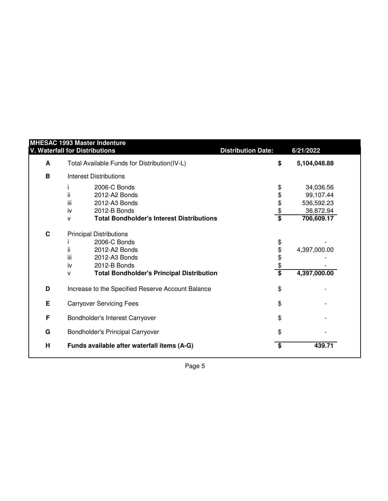|             | <b>V. Waterfall for Distributions</b>                 | <b>Distribution Date:</b> | 6/21/2022               |
|-------------|-------------------------------------------------------|---------------------------|-------------------------|
| A           | Total Available Funds for Distribution(IV-L)          | \$                        | 5,104,048.88            |
| B           | <b>Interest Distributions</b>                         |                           |                         |
|             | 2006-C Bonds                                          | \$                        | 34,036.56               |
|             | ii.<br>2012-A2 Bonds<br>iii<br>2012-A3 Bonds          | \$                        | 99,107.44<br>536,592.23 |
|             | 2012-B Bonds<br>iv                                    | $\frac{6}{3}$             | 36,872.94               |
|             | <b>Total Bondholder's Interest Distributions</b><br>v |                           | 706,609.17              |
| $\mathbf c$ | <b>Principal Distributions</b>                        |                           |                         |
|             | 2006-C Bonds                                          | \$                        |                         |
|             | ii.<br>2012-A2 Bonds                                  | $\frac{4}{3}$             | 4,397,000.00            |
|             | iii<br>2012-A3 Bonds                                  |                           |                         |
|             | iv<br>2012-B Bonds                                    |                           |                         |
|             | <b>Total Bondholder's Principal Distribution</b><br>v |                           | 4,397,000.00            |
| D           | Increase to the Specified Reserve Account Balance     | \$                        |                         |
| E           | <b>Carryover Servicing Fees</b>                       | \$                        |                         |
| F           | Bondholder's Interest Carryover                       | \$                        |                         |
| G           | Bondholder's Principal Carryover                      | \$                        |                         |
| H           | Funds available after waterfall items (A-G)           | \$                        | 439.71                  |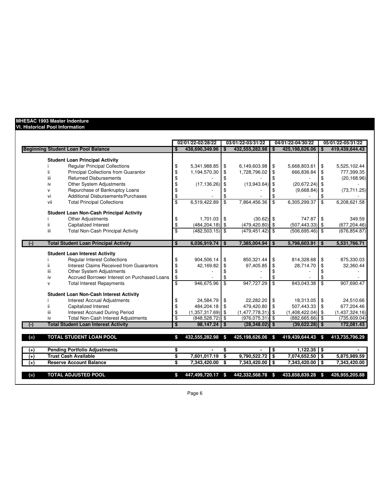## **MHESAC 1993 Master Indenture**

## **VI. Historical Pool Information**

|                                                                                 |                         | 02/01/22-02/28/22            |                 | 03/01/22-03/31/22            |                         | 04/01/22-04/30/22            |                          | 05/01/22-05/31/22            |
|---------------------------------------------------------------------------------|-------------------------|------------------------------|-----------------|------------------------------|-------------------------|------------------------------|--------------------------|------------------------------|
| <b>Beginning Student Loan Pool Balance</b>                                      | \$                      | 438,690,349.96               | \$              | 432,555,282.98               | \$                      | 425,198,626.06               |                          | 419,439,644.43               |
| <b>Student Loan Principal Activity</b>                                          |                         |                              |                 |                              |                         |                              |                          |                              |
| <b>Regular Principal Collections</b>                                            | \$                      | 5,341,988.85                 | \$              | 6,149,603.98                 | \$                      | 5,668,803.61                 | \$                       | 5,525,102.44                 |
| Principal Collections from Guarantor                                            | \$                      | 1,194,570.30                 | \$              | 1,728,796.02                 | <b>S</b>                | 666,836.84                   | \$                       | 777,399.35                   |
| <b>Returned Disbursements</b><br>iii                                            | \$                      |                              | \$              |                              |                         |                              | \$                       | (20, 168.96)                 |
| Other System Adjustments<br>iv                                                  | \$                      | (17, 136.26)                 | \$              | $(13.943.64)$ \$             |                         | (20, 672.24)                 | \$                       |                              |
| Repurchase of Bankruptcy Loans<br>v                                             | \$                      |                              | \$              |                              | \$                      | (9,668.84)                   | \$                       | (73, 711.25)                 |
| Additional Disbursements/Purchases<br>vi                                        | \$                      |                              | \$              |                              |                         |                              |                          |                              |
| <b>Total Principal Collections</b><br>vii                                       | $\overline{\mathbb{S}}$ | 6.519.422.89                 | $\overline{\$}$ | 7,864,456.36                 | \$                      | 6,305,299.37                 | \$                       | 6,208,621.58                 |
| <b>Student Loan Non-Cash Principal Activity</b>                                 |                         |                              |                 |                              |                         |                              |                          |                              |
| Other Adjustments                                                               | \$                      | $1,701.03$ \$                |                 | $(30.62)$ \$                 |                         | 747.87                       | \$                       | 349.59                       |
| Capitalized Interest<br>ii.                                                     | \$                      | $(484, 204.18)$ \$           |                 | $(479, 420.80)$ \$           |                         | $(507, 443.33)$ \$           |                          | (677, 204.46)                |
| <b>Total Non-Cash Principal Activity</b><br>iii                                 | $\overline{\mathbf{s}}$ | $(482, 503.15)$ \$           |                 | $(479, 451.42)$ \$           |                         | $(506, 695.46)$ \$           |                          | (676, 854.87)                |
|                                                                                 |                         |                              |                 |                              |                         |                              |                          |                              |
| <b>Total Student Loan Principal Activity</b><br>$(\cdot)$                       | \$                      | $6.036.919.74$ S             |                 | 7,385,004.94                 | \$                      | 5,798,603.91                 | \$                       | 5,531,766.71                 |
| <b>Student Loan Interest Activity</b>                                           |                         |                              |                 |                              |                         |                              |                          |                              |
| <b>Regular Interest Collections</b>                                             | \$                      | 904,506.14                   | \$              | 850,321.44                   | \$                      | 814,328.68                   | \$                       | 875,330.03                   |
| Interest Claims Received from Guarantors<br>ii.                                 | \$                      | 42,169.82                    | \$              | 97,405.85                    | \$                      | 28,714.70                    | \$                       | 32,360.44                    |
| Other System Adjustments<br>ш                                                   | \$                      |                              | \$              |                              |                         |                              | \$                       |                              |
| Accrued Borrower Interest on Purchased Loans<br>iv                              | \$                      |                              | \$              |                              | \$                      |                              | \$                       |                              |
| <b>Total Interest Repayments</b><br>$\mathsf{v}$                                | $\overline{\$}$         | 946,675.96                   | $\overline{\$}$ | 947,727.29                   | $\overline{\mathbf{s}}$ | 843,043.38                   | $\overline{\mathcal{S}}$ | 907,690.47                   |
| <b>Student Loan Non-Cash Interest Activity</b>                                  |                         |                              |                 |                              |                         |                              |                          |                              |
| <b>Interest Accrual Adjustments</b>                                             | \$                      | 24,584.79                    | \$              | 22,282.20                    | \$                      | 18,313.05                    | \$                       | 24,510.66                    |
| Capitalized Interest                                                            | \$                      | 484,204.18                   | \$              | 479,420.80                   | \$                      | 507,443.33                   | \$                       | 677,204.46                   |
| iii<br><b>Interest Accrued During Period</b>                                    | \$                      | $(1,357,317.69)$ \$          |                 | $(1,477,778.31)$ \$          |                         | (1,408,422.04)               | \$                       | (1,437,324.16)               |
| <b>Total Non-Cash Interest Adjustments</b><br>iv                                | \$                      | (848, 528.72)                | \$              | $(976, 075.31)$ \$           |                         | $(882, 665.66)$ \$           |                          | (735, 609.04)                |
| <b>Total Student Loan Interest Activity</b>                                     | $\overline{\mathbf{s}}$ | $98,147.24$ \$               |                 | $(28, 348.02)$ \$            |                         | $(39,622.28)$ \$             |                          | 172,081.43                   |
| <b>TOTAL STUDENT LOAN POOL</b><br>$(=)$                                         | S                       | 432,555,282.98               | $\sim$          | 425,198,626.06 \$            |                         | 419,439,644.43               | \$                       | 413,735,796.29               |
|                                                                                 |                         |                              |                 |                              |                         |                              |                          |                              |
| <b>Pending Portfolio Adjustments</b><br>$^{(+)}$<br><b>Trust Cash Available</b> | \$                      | $\blacksquare$               | \$              |                              | \$                      | $1,122.35$ \$                |                          |                              |
| $(+)$<br><b>Reserve Account Balance</b><br>$^{(+)}$                             | \$<br>s,                | 7,601,017.19<br>7,343,420.00 | \$<br>\$        | 9,790,522.72<br>7,343,420.00 | $\bullet$<br>l \$       | 7,074,652.50<br>7,343,420.00 | \$<br>\$                 | 5,875,989.59<br>7,343,420.00 |
|                                                                                 |                         |                              |                 |                              |                         |                              |                          |                              |
| <b>TOTAL ADJUSTED POOL</b><br>$(=)$                                             | \$                      | 447,499,720.17               | - \$            | 442,332,568.78               | - \$                    | 433,858,839.28               | \$                       | 426,955,205.88               |